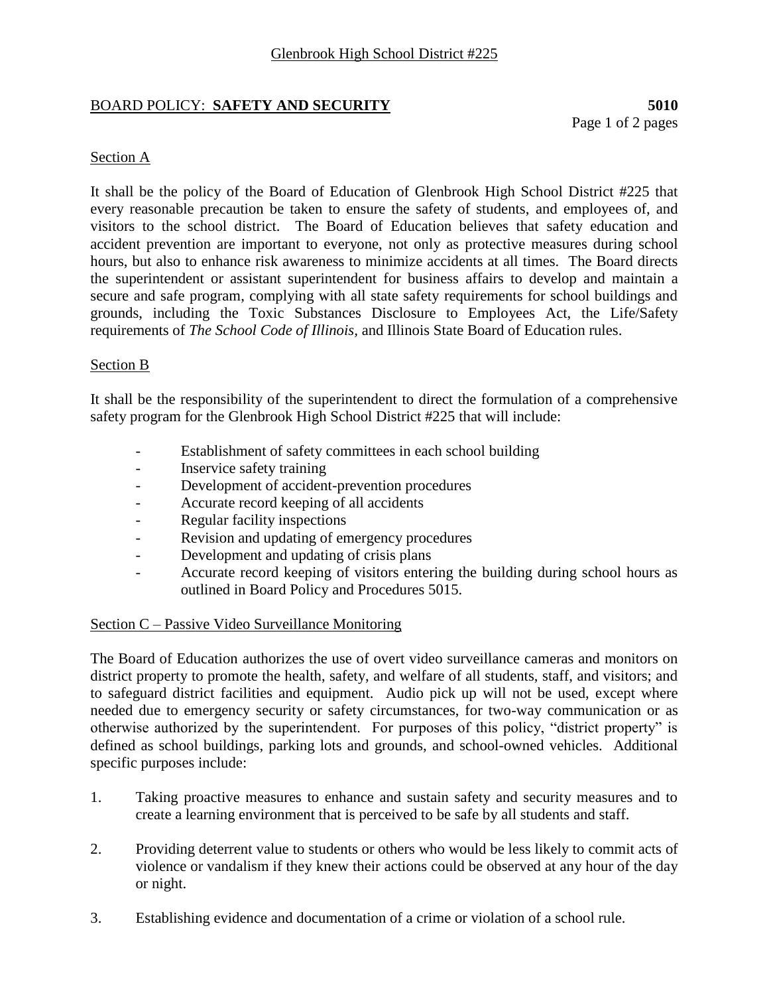# BOARD POLICY: **SAFETY AND SECURITY 5010**

Page 1 of 2 pages

# Section A

It shall be the policy of the Board of Education of Glenbrook High School District #225 that every reasonable precaution be taken to ensure the safety of students, and employees of, and visitors to the school district. The Board of Education believes that safety education and accident prevention are important to everyone, not only as protective measures during school hours, but also to enhance risk awareness to minimize accidents at all times. The Board directs the superintendent or assistant superintendent for business affairs to develop and maintain a secure and safe program, complying with all state safety requirements for school buildings and grounds, including the Toxic Substances Disclosure to Employees Act, the Life/Safety requirements of *The School Code of Illinois,* and Illinois State Board of Education rules.

# Section B

It shall be the responsibility of the superintendent to direct the formulation of a comprehensive safety program for the Glenbrook High School District #225 that will include:

- Establishment of safety committees in each school building
- Inservice safety training
- Development of accident-prevention procedures
- Accurate record keeping of all accidents
- Regular facility inspections
- Revision and updating of emergency procedures
- Development and updating of crisis plans
- Accurate record keeping of visitors entering the building during school hours as outlined in Board Policy and Procedures 5015.

# Section C – Passive Video Surveillance Monitoring

The Board of Education authorizes the use of overt video surveillance cameras and monitors on district property to promote the health, safety, and welfare of all students, staff, and visitors; and to safeguard district facilities and equipment. Audio pick up will not be used, except where needed due to emergency security or safety circumstances, for two-way communication or as otherwise authorized by the superintendent. For purposes of this policy, "district property" is defined as school buildings, parking lots and grounds, and school-owned vehicles. Additional specific purposes include:

- 1. Taking proactive measures to enhance and sustain safety and security measures and to create a learning environment that is perceived to be safe by all students and staff.
- 2. Providing deterrent value to students or others who would be less likely to commit acts of violence or vandalism if they knew their actions could be observed at any hour of the day or night.
- 3. Establishing evidence and documentation of a crime or violation of a school rule.